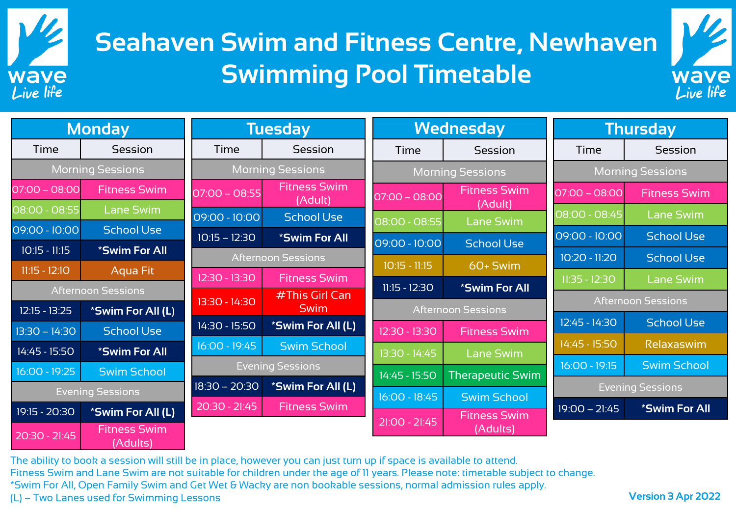

## **Seahaven Swim and Fitness Centre, Newhaven Swimming Pool Timetable**



| <b>Monday</b>             |                                 | <b>Tuesday</b>                       |                                | <b>Wednesday</b>        |                                 | <b>Thursday</b>         |                           |  |
|---------------------------|---------------------------------|--------------------------------------|--------------------------------|-------------------------|---------------------------------|-------------------------|---------------------------|--|
| Time                      | Session                         | Time                                 | Session                        | Time                    | Session                         | Time                    | Session                   |  |
| <b>Morning Sessions</b>   |                                 | <b>Morning Sessions</b>              |                                | <b>Morning Sessions</b> |                                 | <b>Morning Sessions</b> |                           |  |
| $07:00 - 08:00$           | <b>Fitness Swim</b>             | $07:00 - 08:55$                      | <b>Fitness Swim</b><br>(Adult) | $07:00 - 08:00$         | <b>Fitness Swim</b><br>(Adult)  | $07:00 - 08:00$         | <b>Fitness Swim</b>       |  |
| 08:00 - 08:55             | Lane Swim                       | 09:00 - 10:00                        | <b>School Use</b>              | 08:00 - 08:55           | <b>Lane Swim</b>                | 08:00 - 08:45           | <b>Lane Swim</b>          |  |
| 09:00 - 10:00             | <b>School Use</b>               | $10:15 - 12:30$                      | <i><b>*Swim For All</b></i>    | 09:00 - 10:00           | <b>School Use</b>               | 09:00 - 10:00           | <b>School Use</b>         |  |
| $10:15 - 11:15$           | *Swim For All                   | <b>Afternoon Sessions</b>            |                                |                         |                                 | 10:20 - 11:20           | <b>School Use</b>         |  |
| $11:15 - 12:10$           | Aqua Fit                        | 12:30 - 13:30                        | <b>Fitness Swim</b>            | $10:15 - 11:15$         | 60+ Swim                        | $11:35 - 12:30$         | <b>Lane Swim</b>          |  |
| <b>Afternoon Sessions</b> |                                 |                                      | #This Girl Can                 | $11:15 - 12:30$         | *Swim For All                   |                         |                           |  |
| $12:15 - 13:25$           | *Swim For All (L)               |                                      | 13:30 - 14:30<br><b>Swim</b>   |                         | <b>Afternoon Sessions</b>       |                         | <b>Afternoon Sessions</b> |  |
| $13:30 - 14:30$           | <b>School Use</b>               | 14:30 - 15:50                        | *Swim For All (L)              | 12:30 - 13:30           | <b>Fitness Swim</b>             | 12:45 - 14:30           | <b>School Use</b>         |  |
| 14:45 - 15:50             | *Swim For All                   | 16:00 - 19:45                        | <b>Swim School</b>             | 13:30 - 14:45           | <b>Lane Swim</b>                | 14:45 - 15:50           | Relaxaswim                |  |
| $16:00 - 19:25$           | <b>Swim School</b>              | <b>Evening Sessions</b>              |                                | 14:45 - 15:50           |                                 | $16:00 - 19:15$         | <b>Swim School</b>        |  |
| <b>Evening Sessions</b>   |                                 | $18:30 - 20:30$<br>*Swim For All (L) |                                |                         | <b>Therapeutic Swim</b>         |                         | <b>Evening Sessions</b>   |  |
| 19:15 - 20:30             | *Swim For All (L)               | 20:30 - 21:45                        | <b>Fitness Swim</b>            | $16:00 - 18:45$         | <b>Swim School</b>              | $19:00 - 21:45$         | *Swim For All             |  |
| $20:30 - 21:45$           | <b>Fitness Swim</b><br>(Adults) |                                      |                                | $21:00 - 21:45$         | <b>Fitness Swim</b><br>(Adults) |                         |                           |  |

The ability to book a session will still be in place, however you can just turn up if space is available to attend. Fitness Swim and Lane Swim are not suitable for children under the age of 11 years. Please note: timetable subject to change. \*Swim For All, Open Family Swim and Get Wet & Wacky are non bookable sessions, normal admission rules apply. (L) – Two Lanes used for Swimming Lessons **Version 3 Apr 2022**